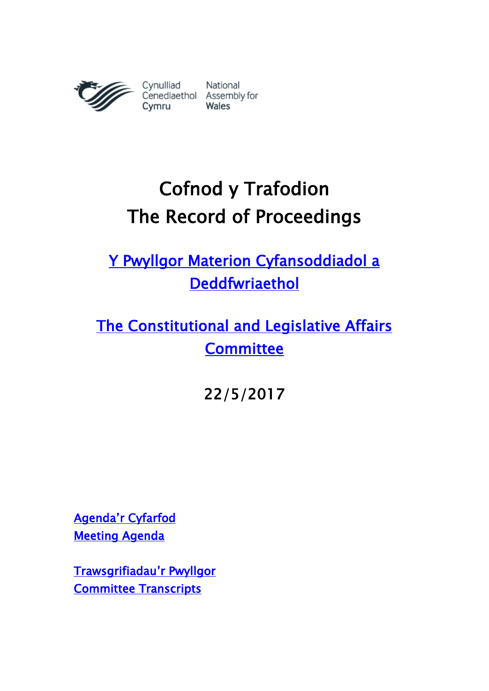

# Cofnod y Trafodion The Record of Proceedings

[Y Pwyllgor Materion Cyfansoddiadol a](http://www.senedd.cynulliad.cymru/mgCommitteeDetails.aspx?ID=434)  [Deddfwriaethol](http://www.senedd.cynulliad.cymru/mgCommitteeDetails.aspx?ID=434) 

[The Constitutional and Legislative Affairs](http://www.senedd.assembly.wales/mgCommitteeDetails.aspx?ID=434)  **Committee** 

22/5/2017

[Agenda'r Cyfarfod](http://senedd.cynulliad.cymru/ieListDocuments.aspx?CId=434&MId=4097&Ver=4) [Meeting Agenda](http://www.senedd.assembly.wales/ieListDocuments.aspx?CId=434&MId=4097&Ver=4) 

[Trawsgrifiadau](http://www.senedd.cynulliad.cymru/mgIssueHistoryHome.aspx?IId=15034)'r Pwyllgor [Committee Transcripts](http://www.senedd.assembly.wales/mgIssueHistoryHome.aspx?IId=15034)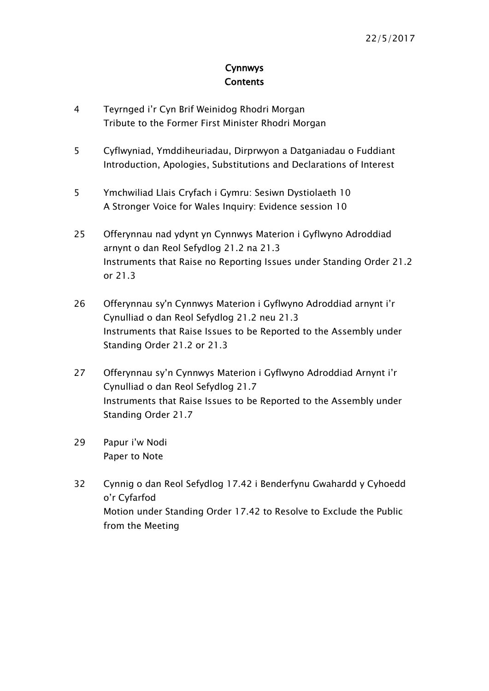## Cynnwys **Contents**

- [4](#page-3-0) Teyrnged i'r Cyn Br[if Weinidog Rhodri Morgan](#page-3-0) [Tribute to the Former First Minister Rhodri Morgan](#page-3-0)
- 5 [Cyflwyniad, Ymddiheuriadau, Dirprwyon a Datganiadau o Fuddiant](#page-4-0)  [Introduction, Apologies, Substitutions and Declarations of Interest](#page-4-0)
- 5 [Ymchwiliad Llais Cryfach i Gymru: Sesiwn Dystiolaeth 10](#page-4-1) [A Stronger Voice for Wales Inquiry: Evidence session 10](#page-4-1)
- 25 [Offerynnau nad ydynt yn Cynnwys Materion i Gyflwyno Adroddiad](#page-24-0)  [arnynt o dan Reol Sefydlog 21.2 na 21.3](#page-24-0) [Instruments that Raise no Reporting Issues under Standing Order 21.2](#page-24-0)  [or 21.3](#page-24-0)
- 26 [Offerynnau sy'n Cynnwys Materion i Gyflwyno Adroddiad arnynt i'r](#page-25-0)  [Cynulliad o dan Reol Sefydlog 21.2 neu 21.3](#page-25-0) [Instruments that Raise Issues to be Reported to the Assembly under](#page-25-0)  [Standing Order 21.2 or 21.3](#page-25-0)
- 27 [Offerynnau sy'n Cynnwys Materion i Gyflwyno Adroddiad Arnynt i'r](#page-26-0)  [Cynulliad o dan Reol Sefydlog 21.7](#page-26-0) [Instruments that Raise Issues to be Reported to the Assembly under](#page-26-0)  Standing [Order 21.7](#page-26-0)
- 29 [Papur i'w Nodi](#page-28-0) [Paper to Note](#page-28-0)
- 32 Cynnig o dan [Reol Sefydlog 17.42 i Benderfynu Gwahardd y Cyhoedd](#page-31-0)  [o'r Cyfarfod](#page-31-0) [Motion under Standing Order 17.42 to Resolve to Exclude the Public](#page-31-0)  [from the Meeting](#page-31-0)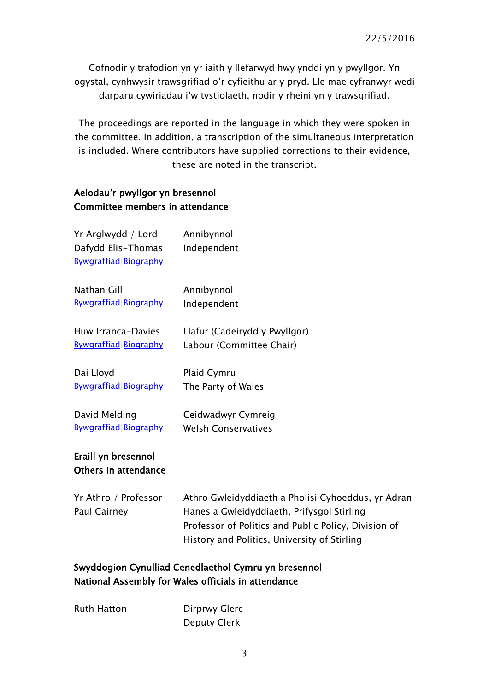Cofnodir y trafodion yn yr iaith y llefarwyd hwy ynddi yn y pwyllgor. Yn ogystal, cynhwysir trawsgrifiad o'r cyfieithu ar y pryd. Lle mae cyfranwyr wedi darparu cywiriadau i'w tystiolaeth, nodir y rheini yn y trawsgrifiad.

The proceedings are reported in the language in which they were spoken in the committee. In addition, a transcription of the simultaneous interpretation is included. Where contributors have supplied corrections to their evidence, these are noted in the transcript.

#### Aelodau'r pwyllgor yn bresennol Committee members in attendance

| Yr Arglwydd / Lord<br>Dafydd Elis-Thomas<br><b>Bywgraffiad Biography</b> | Annibynnol<br>Independent     |
|--------------------------------------------------------------------------|-------------------------------|
| Nathan Gill                                                              | Annibynnol                    |
| <b>Bywgraffiad Biography</b>                                             | Independent                   |
| Huw Irranca-Davies                                                       | Llafur (Cadeirydd y Pwyllgor) |
| <b>Bywgraffiad Biography</b>                                             | Labour (Committee Chair)      |
| Dai Lloyd                                                                | Plaid Cymru                   |
| <b>Bywgraffiad Biography</b>                                             | The Party of Wales            |
| David Melding                                                            | Ceidwadwyr Cymreig            |
| <b>Bywgraffiad Biography</b>                                             | <b>Welsh Conservatives</b>    |
| Eraill yn bresennol                                                      |                               |

## Others in attendance

| Yr Athro / Professor | Athro Gwleidyddiaeth a Pholisi Cyhoeddus, yr Adran   |  |
|----------------------|------------------------------------------------------|--|
| Paul Cairney         | Hanes a Gwleidyddiaeth, Prifysgol Stirling           |  |
|                      | Professor of Politics and Public Policy, Division of |  |
|                      | History and Politics, University of Stirling         |  |

## Swyddogion Cynulliad Cenedlaethol Cymru yn bresennol National Assembly for Wales officials in attendance

| <b>Ruth Hatton</b> | Dirprwy Glerc |
|--------------------|---------------|
|                    | Deputy Clerk  |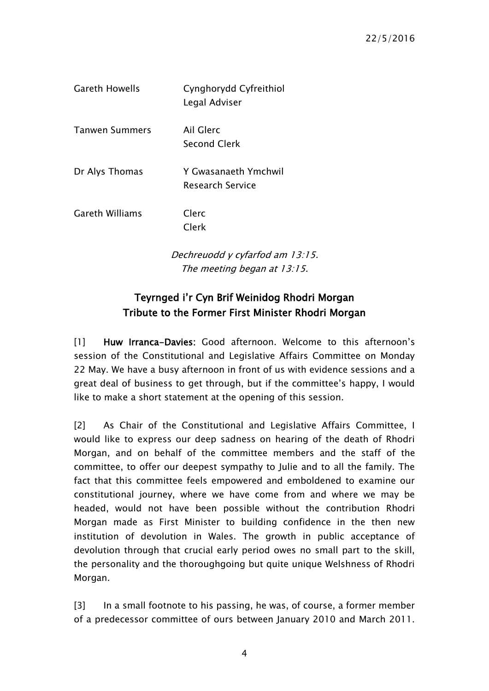| <b>Gareth Howells</b> | Cynghorydd Cyfreithiol<br>Legal Adviser         |
|-----------------------|-------------------------------------------------|
| <b>Tanwen Summers</b> | Ail Glerc<br><b>Second Clerk</b>                |
| Dr Alys Thomas        | Y Gwasanaeth Ymchwil<br><b>Research Service</b> |
| Gareth Williams       | Clerc<br>Clerk                                  |

Dechreuodd y cyfarfod am 13:15. The meeting began at 13:15.

## Teyrnged i'r Cyn Brif Weinidog Rhodri Morgan Tribute to the Former First Minister Rhodri Morgan

<span id="page-3-0"></span>[1] Huw Irranca-Davies: Good afternoon. Welcome to this afternoon's session of the Constitutional and Legislative Affairs Committee on Monday 22 May. We have a busy afternoon in front of us with evidence sessions and a great deal of business to get through, but if the committee's happy, I would like to make a short statement at the opening of this session.

[2] As Chair of the Constitutional and Legislative Affairs Committee, I would like to express our deep sadness on hearing of the death of Rhodri Morgan, and on behalf of the committee members and the staff of the committee, to offer our deepest sympathy to Julie and to all the family. The fact that this committee feels empowered and emboldened to examine our constitutional journey, where we have come from and where we may be headed, would not have been possible without the contribution Rhodri Morgan made as First Minister to building confidence in the then new institution of devolution in Wales. The growth in public acceptance of devolution through that crucial early period owes no small part to the skill, the personality and the thoroughgoing but quite unique Welshness of Rhodri Morgan.

[3] In a small footnote to his passing, he was, of course, a former member of a predecessor committee of ours between January 2010 and March 2011.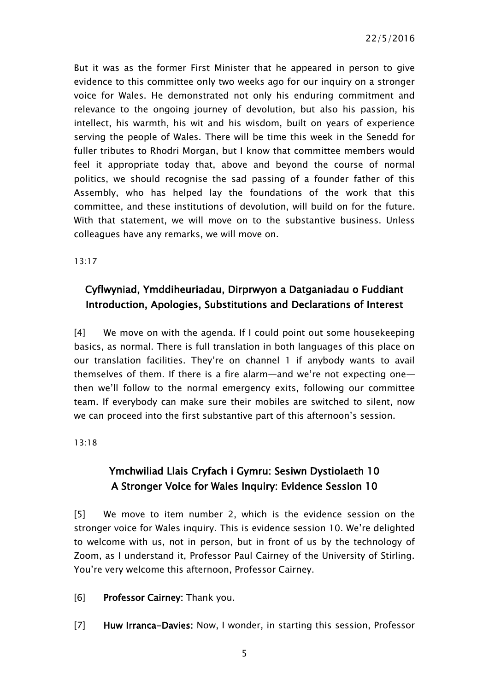But it was as the former First Minister that he appeared in person to give evidence to this committee only two weeks ago for our inquiry on a stronger voice for Wales. He demonstrated not only his enduring commitment and relevance to the ongoing journey of devolution, but also his passion, his intellect, his warmth, his wit and his wisdom, built on years of experience serving the people of Wales. There will be time this week in the Senedd for fuller tributes to Rhodri Morgan, but I know that committee members would feel it appropriate today that, above and beyond the course of normal politics, we should recognise the sad passing of a founder father of this Assembly, who has helped lay the foundations of the work that this committee, and these institutions of devolution, will build on for the future. With that statement, we will move on to the substantive business. Unless colleagues have any remarks, we will move on.

13:17

## <span id="page-4-0"></span>Cyflwyniad, Ymddiheuriadau, Dirprwyon a Datganiadau o Fuddiant Introduction, Apologies, Substitutions and Declarations of Interest

[4] We move on with the agenda. If I could point out some housekeeping basics, as normal. There is full translation in both languages of this place on our translation facilities. They're on channel 1 if anybody wants to avail themselves of them. If there is a fire alarm—and we're not expecting one then we'll follow to the normal emergency exits, following our committee team. If everybody can make sure their mobiles are switched to silent, now we can proceed into the first substantive part of this afternoon's session.

<span id="page-4-1"></span>13:18

## Ymchwiliad Llais Cryfach i Gymru: Sesiwn Dystiolaeth 10 A Stronger Voice for Wales Inquiry: Evidence Session 10

[5] We move to item number 2, which is the evidence session on the stronger voice for Wales inquiry. This is evidence session 10. We're delighted to welcome with us, not in person, but in front of us by the technology of Zoom, as I understand it, Professor Paul Cairney of the University of Stirling. You're very welcome this afternoon, Professor Cairney.

[6] Professor Cairney: Thank you.

[7] Huw Irranca-Davies: Now, I wonder, in starting this session, Professor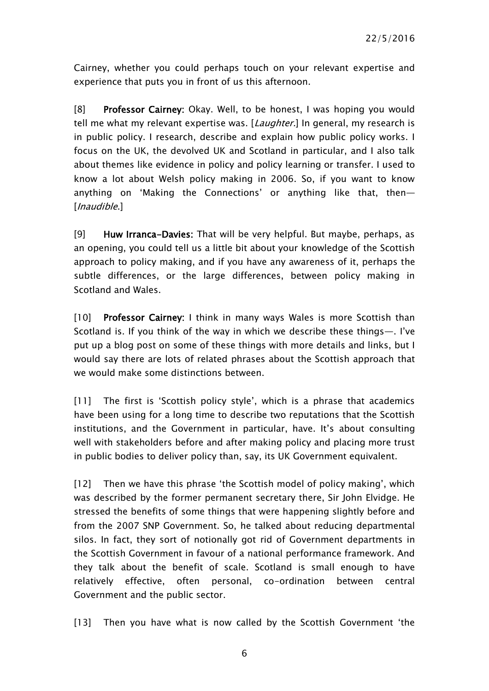Cairney, whether you could perhaps touch on your relevant expertise and experience that puts you in front of us this afternoon.

[8] Professor Cairney: Okay. Well, to be honest, I was hoping you would tell me what my relevant expertise was. [Laughter.] In general, my research is in public policy. I research, describe and explain how public policy works. I focus on the UK, the devolved UK and Scotland in particular, and I also talk about themes like evidence in policy and policy learning or transfer. I used to know a lot about Welsh policy making in 2006. So, if you want to know anything on 'Making the Connections' or anything like that, then— [*Inaudible.*]

[9] Huw Irranca-Davies: That will be very helpful. But maybe, perhaps, as an opening, you could tell us a little bit about your knowledge of the Scottish approach to policy making, and if you have any awareness of it, perhaps the subtle differences, or the large differences, between policy making in Scotland and Wales.

[10] Professor Cairney: I think in many ways Wales is more Scottish than Scotland is. If you think of the way in which we describe these things—. I've put up a blog post on some of these things with more details and links, but I would say there are lots of related phrases about the Scottish approach that we would make some distinctions between.

[11] The first is 'Scottish policy style', which is a phrase that academics have been using for a long time to describe two reputations that the Scottish institutions, and the Government in particular, have. It's about consulting well with stakeholders before and after making policy and placing more trust in public bodies to deliver policy than, say, its UK Government equivalent.

[12] Then we have this phrase 'the Scottish model of policy making', which was described by the former permanent secretary there, Sir John Elvidge. He stressed the benefits of some things that were happening slightly before and from the 2007 SNP Government. So, he talked about reducing departmental silos. In fact, they sort of notionally got rid of Government departments in the Scottish Government in favour of a national performance framework. And they talk about the benefit of scale. Scotland is small enough to have relatively effective, often personal, co-ordination between central Government and the public sector.

[13] Then you have what is now called by the Scottish Government 'the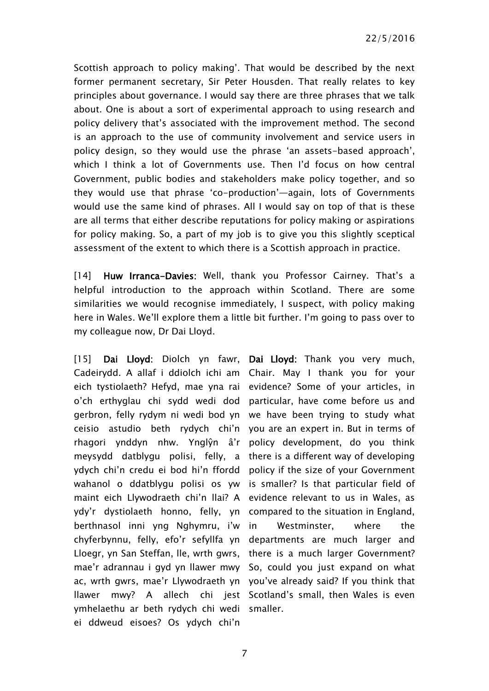22/5/2016

Scottish approach to policy making'. That would be described by the next former permanent secretary, Sir Peter Housden. That really relates to key principles about governance. I would say there are three phrases that we talk about. One is about a sort of experimental approach to using research and policy delivery that's associated with the improvement method. The second is an approach to the use of community involvement and service users in policy design, so they would use the phrase 'an assets-based approach', which I think a lot of Governments use. Then I'd focus on how central Government, public bodies and stakeholders make policy together, and so they would use that phrase 'co-production'—again, lots of Governments would use the same kind of phrases. All I would say on top of that is these are all terms that either describe reputations for policy making or aspirations for policy making. So, a part of my job is to give you this slightly sceptical assessment of the extent to which there is a Scottish approach in practice.

[14] Huw Irranca-Davies: Well, thank you Professor Cairney. That's a helpful introduction to the approach within Scotland. There are some similarities we would recognise immediately, I suspect, with policy making here in Wales. We'll explore them a little bit further. I'm going to pass over to my colleague now, Dr Dai Lloyd.

[15] **Dai Lloyd:** Diolch yn fawr, Cadeirydd. A allaf i ddiolch ichi am Chair. May I thank you for your eich tystiolaeth? Hefyd, mae yna rai evidence? Some of your articles, in o'ch erthyglau chi sydd wedi dod gerbron, felly rydym ni wedi bod yn we have been trying to study what ceisio astudio beth rydych chi'n you are an expert in. But in terms of rhagori ynddyn nhw. Ynglŷn â'r meysydd datblygu polisi, felly, a there is a different way of developing ydych chi'n credu ei bod hi'n ffordd wahanol o ddatblygu polisi os yw is smaller? Is that particular field of maint eich Llywodraeth chi'n llai? A evidence relevant to us in Wales, as ydy'r dystiolaeth honno, felly, yn compared to the situation in England, berthnasol inni yng Nghymru, i'w chyferbynnu, felly, efo'r sefyllfa yn Lloegr, yn San Steffan, lle, wrth gwrs, there is a much larger Government? mae'r adrannau i gyd yn llawer mwy So, could you just expand on what ac, wrth gwrs, mae'r Llywodraeth yn you've already said? If you think that llawer mwy? A allech chi jest Scotland's small, then Wales is even ymhelaethu ar beth rydych chi wedi smaller.ei ddweud eisoes? Os ydych chi'n

Dai Lloyd: Thank you very much, particular, have come before us and policy development, do you think policy if the size of your Government Westminster, where the departments are much larger and

7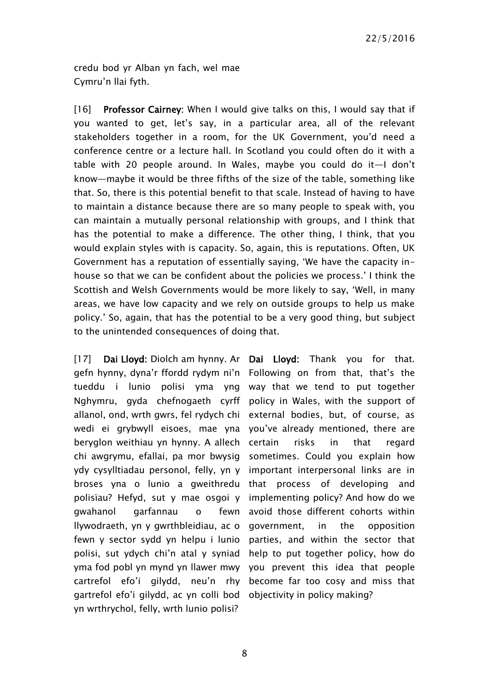credu bod yr Alban yn fach, wel mae Cymru'n llai fyth.

[16] Professor Cairney: When I would give talks on this, I would say that if you wanted to get, let's say, in a particular area, all of the relevant stakeholders together in a room, for the UK Government, you'd need a conference centre or a lecture hall. In Scotland you could often do it with a table with 20 people around. In Wales, maybe you could do it—I don't know—maybe it would be three fifths of the size of the table, something like that. So, there is this potential benefit to that scale. Instead of having to have to maintain a distance because there are so many people to speak with, you can maintain a mutually personal relationship with groups, and I think that has the potential to make a difference. The other thing, I think, that you would explain styles with is capacity. So, again, this is reputations. Often, UK Government has a reputation of essentially saying, 'We have the capacity inhouse so that we can be confident about the policies we process.' I think the Scottish and Welsh Governments would be more likely to say, 'Well, in many areas, we have low capacity and we rely on outside groups to help us make policy.' So, again, that has the potential to be a very good thing, but subject to the unintended consequences of doing that.

[17] Dai Lloyd: Diolch am hynny. Ar Dai Lloyd: Thank you for that. gefn hynny, dyna'r ffordd rydym ni'n Following on from that, that's the tueddu i lunio polisi yma yng Nghymru, gyda chefnogaeth cyrff policy in Wales, with the support of allanol, ond, wrth gwrs, fel rydych chi external bodies, but, of course, as wedi ei grybwyll eisoes, mae yna you've already mentioned, there are beryglon weithiau yn hynny. A allech certain risks in that regard chi awgrymu, efallai, pa mor bwysig ydy cysylltiadau personol, felly, yn y important interpersonal links are in broses yna o lunio a gweithredu that process of developing and polisïau? Hefyd, sut y mae osgoi y gwahanol garfannau o fewn llywodraeth, yn y gwrthbleidiau, ac o fewn y sector sydd yn helpu i lunio polisi, sut ydych chi'n atal y syniad help to put together policy, how do yma fod pobl yn mynd yn llawer mwy you prevent this idea that people cartrefol efo'i gilydd, neu'n rhy gartrefol efo'i gilydd, ac yn colli bod objectivity in policy making?yn wrthrychol, felly, wrth lunio polisi?

way that we tend to put together sometimes. Could you explain how implementing policy? And how do we avoid those different cohorts within government, in the opposition parties, and within the sector that become far too cosy and miss that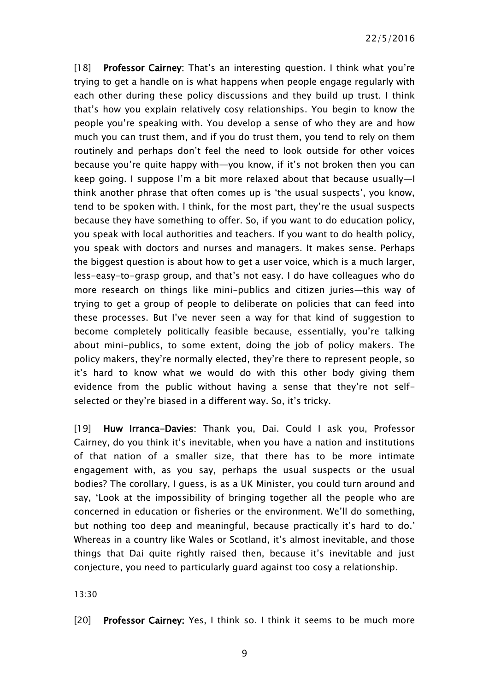[18] Professor Cairney: That's an interesting question. I think what you're trying to get a handle on is what happens when people engage regularly with each other during these policy discussions and they build up trust. I think that's how you explain relatively cosy relationships. You begin to know the people you're speaking with. You develop a sense of who they are and how much you can trust them, and if you do trust them, you tend to rely on them routinely and perhaps don't feel the need to look outside for other voices because you're quite happy with—you know, if it's not broken then you can keep going. I suppose I'm a bit more relaxed about that because usually—I think another phrase that often comes up is 'the usual suspects', you know, tend to be spoken with. I think, for the most part, they're the usual suspects because they have something to offer. So, if you want to do education policy, you speak with local authorities and teachers. If you want to do health policy, you speak with doctors and nurses and managers. It makes sense. Perhaps the biggest question is about how to get a user voice, which is a much larger, less-easy-to-grasp group, and that's not easy. I do have colleagues who do more research on things like mini-publics and citizen juries—this way of trying to get a group of people to deliberate on policies that can feed into these processes. But I've never seen a way for that kind of suggestion to become completely politically feasible because, essentially, you're talking about mini-publics, to some extent, doing the job of policy makers. The policy makers, they're normally elected, they're there to represent people, so it's hard to know what we would do with this other body giving them evidence from the public without having a sense that they're not selfselected or they're biased in a different way. So, it's tricky.

[19] Huw Irranca-Davies: Thank you, Dai. Could I ask you, Professor Cairney, do you think it's inevitable, when you have a nation and institutions of that nation of a smaller size, that there has to be more intimate engagement with, as you say, perhaps the usual suspects or the usual bodies? The corollary, I guess, is as a UK Minister, you could turn around and say, 'Look at the impossibility of bringing together all the people who are concerned in education or fisheries or the environment. We'll do something, but nothing too deep and meaningful, because practically it's hard to do.' Whereas in a country like Wales or Scotland, it's almost inevitable, and those things that Dai quite rightly raised then, because it's inevitable and just conjecture, you need to particularly guard against too cosy a relationship.

13:30

[20] Professor Cairney: Yes, I think so. I think it seems to be much more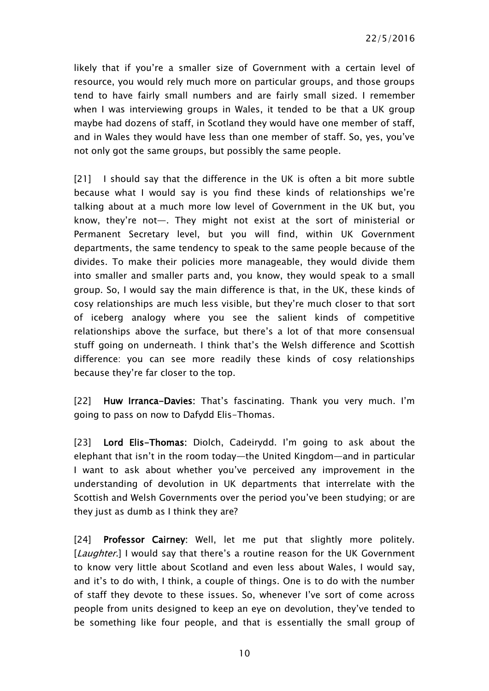likely that if you're a smaller size of Government with a certain level of resource, you would rely much more on particular groups, and those groups tend to have fairly small numbers and are fairly small sized. I remember when I was interviewing groups in Wales, it tended to be that a UK group maybe had dozens of staff, in Scotland they would have one member of staff, and in Wales they would have less than one member of staff. So, yes, you've not only got the same groups, but possibly the same people.

[21] I should say that the difference in the UK is often a bit more subtle because what I would say is you find these kinds of relationships we're talking about at a much more low level of Government in the UK but, you know, they're not—. They might not exist at the sort of ministerial or Permanent Secretary level, but you will find, within UK Government departments, the same tendency to speak to the same people because of the divides. To make their policies more manageable, they would divide them into smaller and smaller parts and, you know, they would speak to a small group. So, I would say the main difference is that, in the UK, these kinds of cosy relationships are much less visible, but they're much closer to that sort of iceberg analogy where you see the salient kinds of competitive relationships above the surface, but there's a lot of that more consensual stuff going on underneath. I think that's the Welsh difference and Scottish difference: you can see more readily these kinds of cosy relationships because they're far closer to the top.

[22] Huw Irranca-Davies: That's fascinating. Thank you very much. I'm going to pass on now to Dafydd Elis-Thomas.

[23] Lord Elis-Thomas: Diolch, Cadeirydd. I'm going to ask about the elephant that isn't in the room today—the United Kingdom—and in particular I want to ask about whether you've perceived any improvement in the understanding of devolution in UK departments that interrelate with the Scottish and Welsh Governments over the period you've been studying; or are they just as dumb as I think they are?

[24] Professor Cairney: Well, let me put that slightly more politely. [Laughter.] I would say that there's a routine reason for the UK Government to know very little about Scotland and even less about Wales, I would say, and it's to do with, I think, a couple of things. One is to do with the number of staff they devote to these issues. So, whenever I've sort of come across people from units designed to keep an eye on devolution, they've tended to be something like four people, and that is essentially the small group of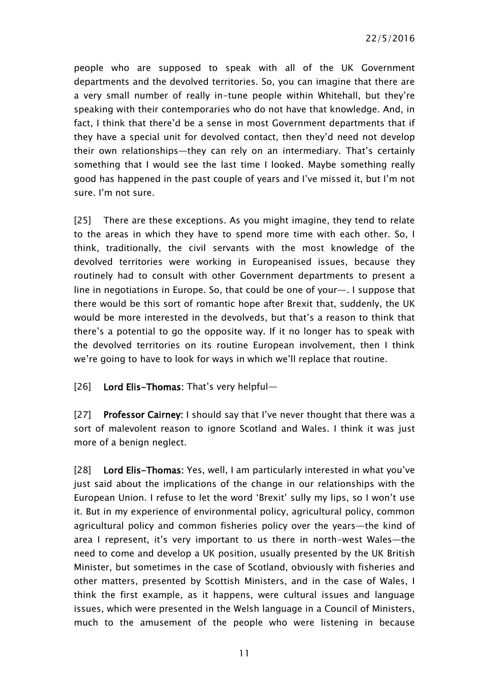people who are supposed to speak with all of the UK Government departments and the devolved territories. So, you can imagine that there are a very small number of really in-tune people within Whitehall, but they're speaking with their contemporaries who do not have that knowledge. And, in fact, I think that there'd be a sense in most Government departments that if they have a special unit for devolved contact, then they'd need not develop their own relationships—they can rely on an intermediary. That's certainly something that I would see the last time I looked. Maybe something really good has happened in the past couple of years and I've missed it, but I'm not sure. I'm not sure.

[25] There are these exceptions. As you might imagine, they tend to relate to the areas in which they have to spend more time with each other. So, I think, traditionally, the civil servants with the most knowledge of the devolved territories were working in Europeanised issues, because they routinely had to consult with other Government departments to present a line in negotiations in Europe. So, that could be one of your—. I suppose that there would be this sort of romantic hope after Brexit that, suddenly, the UK would be more interested in the devolveds, but that's a reason to think that there's a potential to go the opposite way. If it no longer has to speak with the devolved territories on its routine European involvement, then I think we're going to have to look for ways in which we'll replace that routine.

[26] Lord Elis-Thomas: That's very helpful-

[27] Professor Cairney: I should say that I've never thought that there was a sort of malevolent reason to ignore Scotland and Wales. I think it was just more of a benign neglect.

[28] Lord Elis-Thomas: Yes, well, I am particularly interested in what you've just said about the implications of the change in our relationships with the European Union. I refuse to let the word 'Brexit' sully my lips, so I won't use it. But in my experience of environmental policy, agricultural policy, common agricultural policy and common fisheries policy over the years—the kind of area I represent, it's very important to us there in north-west Wales—the need to come and develop a UK position, usually presented by the UK British Minister, but sometimes in the case of Scotland, obviously with fisheries and other matters, presented by Scottish Ministers, and in the case of Wales, I think the first example, as it happens, were cultural issues and language issues, which were presented in the Welsh language in a Council of Ministers, much to the amusement of the people who were listening in because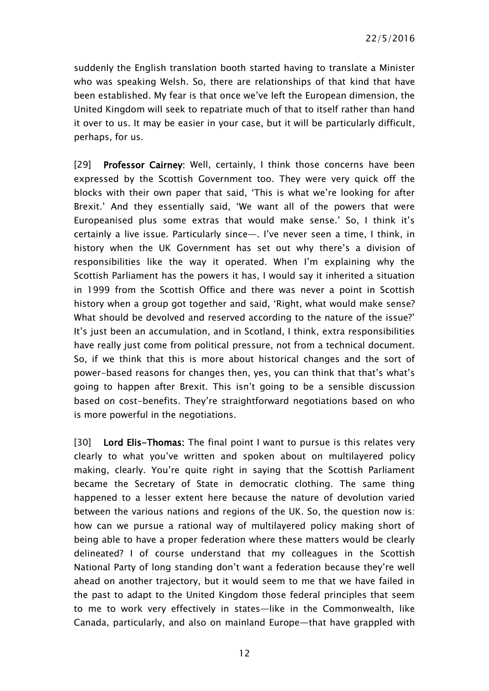suddenly the English translation booth started having to translate a Minister who was speaking Welsh. So, there are relationships of that kind that have been established. My fear is that once we've left the European dimension, the United Kingdom will seek to repatriate much of that to itself rather than hand it over to us. It may be easier in your case, but it will be particularly difficult, perhaps, for us.

[29] Professor Cairney: Well, certainly, I think those concerns have been expressed by the Scottish Government too. They were very quick off the blocks with their own paper that said, 'This is what we're looking for after Brexit.' And they essentially said, 'We want all of the powers that were Europeanised plus some extras that would make sense.' So, I think it's certainly a live issue. Particularly since—. I've never seen a time, I think, in history when the UK Government has set out why there's a division of responsibilities like the way it operated. When I'm explaining why the Scottish Parliament has the powers it has, I would say it inherited a situation in 1999 from the Scottish Office and there was never a point in Scottish history when a group got together and said, 'Right, what would make sense? What should be devolved and reserved according to the nature of the issue?' It's just been an accumulation, and in Scotland, I think, extra responsibilities have really just come from political pressure, not from a technical document. So, if we think that this is more about historical changes and the sort of power-based reasons for changes then, yes, you can think that that's what's going to happen after Brexit. This isn't going to be a sensible discussion based on cost-benefits. They're straightforward negotiations based on who is more powerful in the negotiations.

[30] Lord Elis-Thomas: The final point I want to pursue is this relates very clearly to what you've written and spoken about on multilayered policy making, clearly. You're quite right in saying that the Scottish Parliament became the Secretary of State in democratic clothing. The same thing happened to a lesser extent here because the nature of devolution varied between the various nations and regions of the UK. So, the question now is: how can we pursue a rational way of multilayered policy making short of being able to have a proper federation where these matters would be clearly delineated? I of course understand that my colleagues in the Scottish National Party of long standing don't want a federation because they're well ahead on another trajectory, but it would seem to me that we have failed in the past to adapt to the United Kingdom those federal principles that seem to me to work very effectively in states—like in the Commonwealth, like Canada, particularly, and also on mainland Europe—that have grappled with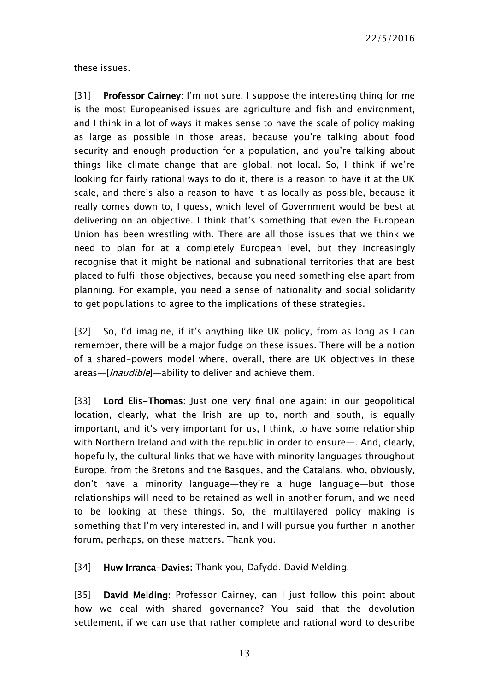these issues.

[31] Professor Cairney: I'm not sure. I suppose the interesting thing for me is the most Europeanised issues are agriculture and fish and environment, and I think in a lot of ways it makes sense to have the scale of policy making as large as possible in those areas, because you're talking about food security and enough production for a population, and you're talking about things like climate change that are global, not local. So, I think if we're looking for fairly rational ways to do it, there is a reason to have it at the UK scale, and there's also a reason to have it as locally as possible, because it really comes down to, I guess, which level of Government would be best at delivering on an objective. I think that's something that even the European Union has been wrestling with. There are all those issues that we think we need to plan for at a completely European level, but they increasingly recognise that it might be national and subnational territories that are best placed to fulfil those objectives, because you need something else apart from planning. For example, you need a sense of nationality and social solidarity to get populations to agree to the implications of these strategies.

[32] So, I'd imagine, if it's anything like UK policy, from as long as I can remember, there will be a major fudge on these issues. There will be a notion of a shared-powers model where, overall, there are UK objectives in these areas—[*Inaudible*]—ability to deliver and achieve them.

[33] Lord Elis-Thomas: Just one very final one again: in our geopolitical location, clearly, what the Irish are up to, north and south, is equally important, and it's very important for us, I think, to have some relationship with Northern Ireland and with the republic in order to ensure—. And, clearly, hopefully, the cultural links that we have with minority languages throughout Europe, from the Bretons and the Basques, and the Catalans, who, obviously, don't have a minority language—they're a huge language—but those relationships will need to be retained as well in another forum, and we need to be looking at these things. So, the multilayered policy making is something that I'm very interested in, and I will pursue you further in another forum, perhaps, on these matters. Thank you.

[34] Huw Irranca-Davies: Thank you, Dafydd. David Melding.

[35] David Melding: Professor Cairney, can I just follow this point about how we deal with shared governance? You said that the devolution settlement, if we can use that rather complete and rational word to describe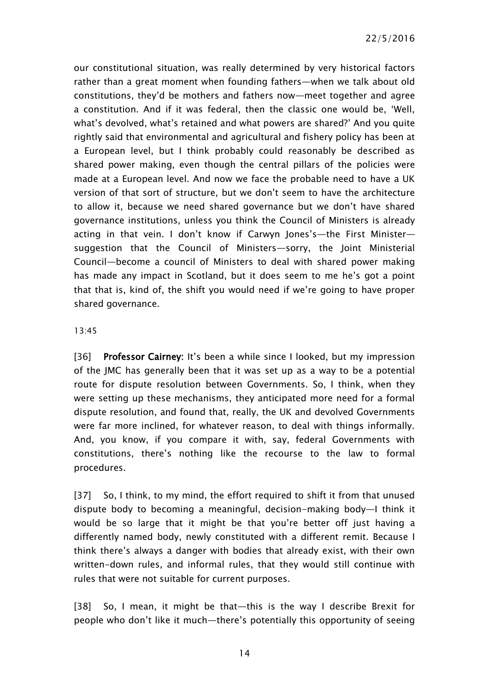our constitutional situation, was really determined by very historical factors rather than a great moment when founding fathers—when we talk about old constitutions, they'd be mothers and fathers now—meet together and agree a constitution. And if it was federal, then the classic one would be, 'Well, what's devolved, what's retained and what powers are shared?' And you quite rightly said that environmental and agricultural and fishery policy has been at a European level, but I think probably could reasonably be described as shared power making, even though the central pillars of the policies were made at a European level. And now we face the probable need to have a UK version of that sort of structure, but we don't seem to have the architecture to allow it, because we need shared governance but we don't have shared governance institutions, unless you think the Council of Ministers is already acting in that vein. I don't know if Carwyn Jones's—the First Minister suggestion that the Council of Ministers—sorry, the Joint Ministerial Council—become a council of Ministers to deal with shared power making has made any impact in Scotland, but it does seem to me he's got a point that that is, kind of, the shift you would need if we're going to have proper shared governance.

#### 13:45

[36] Professor Cairney: It's been a while since I looked, but my impression of the JMC has generally been that it was set up as a way to be a potential route for dispute resolution between Governments. So, I think, when they were setting up these mechanisms, they anticipated more need for a formal dispute resolution, and found that, really, the UK and devolved Governments were far more inclined, for whatever reason, to deal with things informally. And, you know, if you compare it with, say, federal Governments with constitutions, there's nothing like the recourse to the law to formal procedures.

[37] So, I think, to my mind, the effort required to shift it from that unused dispute body to becoming a meaningful, decision-making body—I think it would be so large that it might be that you're better off just having a differently named body, newly constituted with a different remit. Because I think there's always a danger with bodies that already exist, with their own written-down rules, and informal rules, that they would still continue with rules that were not suitable for current purposes.

[38] So, I mean, it might be that—this is the way I describe Brexit for people who don't like it much—there's potentially this opportunity of seeing

14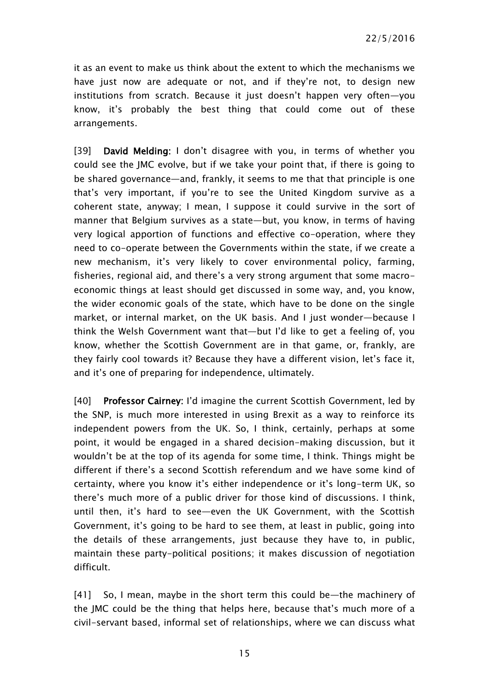it as an event to make us think about the extent to which the mechanisms we have just now are adequate or not, and if they're not, to design new institutions from scratch. Because it just doesn't happen very often—you know, it's probably the best thing that could come out of these arrangements.

[39] David Melding: I don't disagree with you, in terms of whether you could see the JMC evolve, but if we take your point that, if there is going to be shared governance—and, frankly, it seems to me that that principle is one that's very important, if you're to see the United Kingdom survive as a coherent state, anyway; I mean, I suppose it could survive in the sort of manner that Belgium survives as a state—but, you know, in terms of having very logical apportion of functions and effective co-operation, where they need to co-operate between the Governments within the state, if we create a new mechanism, it's very likely to cover environmental policy, farming, fisheries, regional aid, and there's a very strong argument that some macroeconomic things at least should get discussed in some way, and, you know, the wider economic goals of the state, which have to be done on the single market, or internal market, on the UK basis. And I just wonder—because I think the Welsh Government want that—but I'd like to get a feeling of, you know, whether the Scottish Government are in that game, or, frankly, are they fairly cool towards it? Because they have a different vision, let's face it, and it's one of preparing for independence, ultimately.

[40] Professor Cairney: I'd imagine the current Scottish Government, led by the SNP, is much more interested in using Brexit as a way to reinforce its independent powers from the UK. So, I think, certainly, perhaps at some point, it would be engaged in a shared decision-making discussion, but it wouldn't be at the top of its agenda for some time, I think. Things might be different if there's a second Scottish referendum and we have some kind of certainty, where you know it's either independence or it's long-term UK, so there's much more of a public driver for those kind of discussions. I think, until then, it's hard to see—even the UK Government, with the Scottish Government, it's going to be hard to see them, at least in public, going into the details of these arrangements, just because they have to, in public, maintain these party-political positions; it makes discussion of negotiation difficult.

[41] So, I mean, maybe in the short term this could be—the machinery of the JMC could be the thing that helps here, because that's much more of a civil-servant based, informal set of relationships, where we can discuss what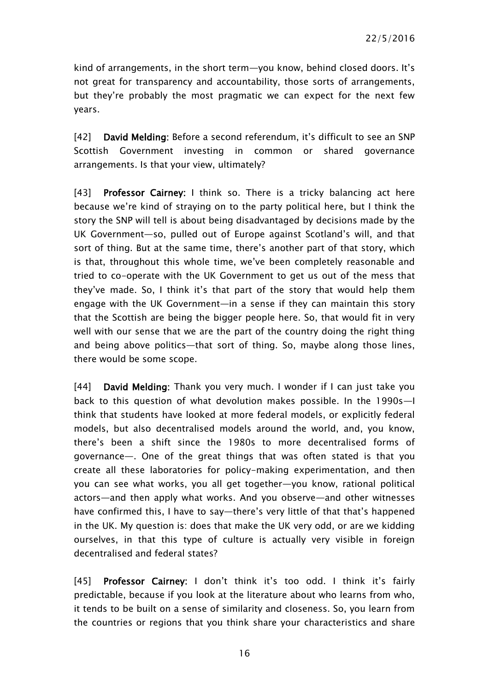kind of arrangements, in the short term—you know, behind closed doors. It's not great for transparency and accountability, those sorts of arrangements, but they're probably the most pragmatic we can expect for the next few years.

[42] David Melding: Before a second referendum, it's difficult to see an SNP Scottish Government investing in common or shared governance arrangements. Is that your view, ultimately?

[43] **Professor Cairney:** I think so. There is a tricky balancing act here because we're kind of straying on to the party political here, but I think the story the SNP will tell is about being disadvantaged by decisions made by the UK Government—so, pulled out of Europe against Scotland's will, and that sort of thing. But at the same time, there's another part of that story, which is that, throughout this whole time, we've been completely reasonable and tried to co-operate with the UK Government to get us out of the mess that they've made. So, I think it's that part of the story that would help them engage with the UK Government—in a sense if they can maintain this story that the Scottish are being the bigger people here. So, that would fit in very well with our sense that we are the part of the country doing the right thing and being above politics—that sort of thing. So, maybe along those lines, there would be some scope.

[44] David Melding: Thank you very much. I wonder if I can just take you back to this question of what devolution makes possible. In the 1990s—I think that students have looked at more federal models, or explicitly federal models, but also decentralised models around the world, and, you know, there's been a shift since the 1980s to more decentralised forms of governance—. One of the great things that was often stated is that you create all these laboratories for policy-making experimentation, and then you can see what works, you all get together—you know, rational political actors—and then apply what works. And you observe—and other witnesses have confirmed this, I have to say—there's very little of that that's happened in the UK. My question is: does that make the UK very odd, or are we kidding ourselves, in that this type of culture is actually very visible in foreign decentralised and federal states?

[45] Professor Cairney: I don't think it's too odd. I think it's fairly predictable, because if you look at the literature about who learns from who, it tends to be built on a sense of similarity and closeness. So, you learn from the countries or regions that you think share your characteristics and share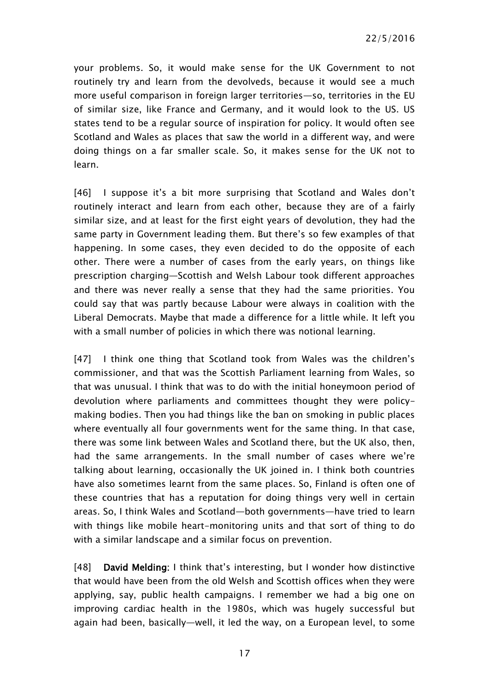your problems. So, it would make sense for the UK Government to not routinely try and learn from the devolveds, because it would see a much more useful comparison in foreign larger territories—so, territories in the EU of similar size, like France and Germany, and it would look to the US. US states tend to be a regular source of inspiration for policy. It would often see Scotland and Wales as places that saw the world in a different way, and were doing things on a far smaller scale. So, it makes sense for the UK not to learn.

[46] I suppose it's a bit more surprising that Scotland and Wales don't routinely interact and learn from each other, because they are of a fairly similar size, and at least for the first eight years of devolution, they had the same party in Government leading them. But there's so few examples of that happening. In some cases, they even decided to do the opposite of each other. There were a number of cases from the early years, on things like prescription charging—Scottish and Welsh Labour took different approaches and there was never really a sense that they had the same priorities. You could say that was partly because Labour were always in coalition with the Liberal Democrats. Maybe that made a difference for a little while. It left you with a small number of policies in which there was notional learning.

[47] I think one thing that Scotland took from Wales was the children's commissioner, and that was the Scottish Parliament learning from Wales, so that was unusual. I think that was to do with the initial honeymoon period of devolution where parliaments and committees thought they were policymaking bodies. Then you had things like the ban on smoking in public places where eventually all four governments went for the same thing. In that case, there was some link between Wales and Scotland there, but the UK also, then, had the same arrangements. In the small number of cases where we're talking about learning, occasionally the UK joined in. I think both countries have also sometimes learnt from the same places. So, Finland is often one of these countries that has a reputation for doing things very well in certain areas. So, I think Wales and Scotland—both governments—have tried to learn with things like mobile heart-monitoring units and that sort of thing to do with a similar landscape and a similar focus on prevention.

[48] David Melding: I think that's interesting, but I wonder how distinctive that would have been from the old Welsh and Scottish offices when they were applying, say, public health campaigns. I remember we had a big one on improving cardiac health in the 1980s, which was hugely successful but again had been, basically—well, it led the way, on a European level, to some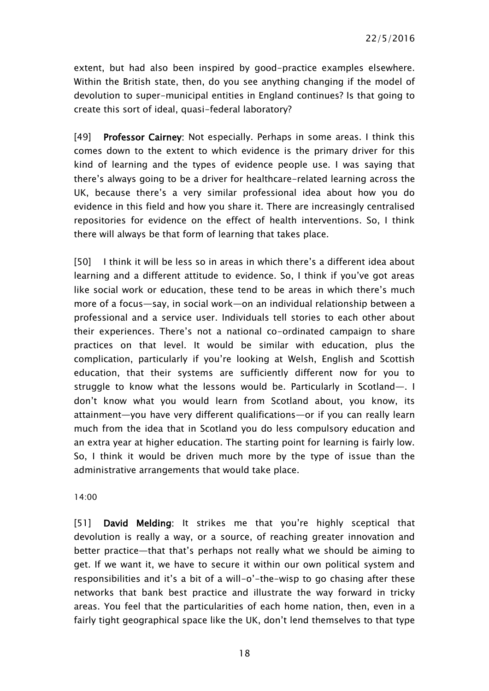extent, but had also been inspired by good-practice examples elsewhere. Within the British state, then, do you see anything changing if the model of devolution to super-municipal entities in England continues? Is that going to create this sort of ideal, quasi-federal laboratory?

[49] Professor Cairney: Not especially. Perhaps in some areas. I think this comes down to the extent to which evidence is the primary driver for this kind of learning and the types of evidence people use. I was saying that there's always going to be a driver for healthcare-related learning across the UK, because there's a very similar professional idea about how you do evidence in this field and how you share it. There are increasingly centralised repositories for evidence on the effect of health interventions. So, I think there will always be that form of learning that takes place.

[50] I think it will be less so in areas in which there's a different idea about learning and a different attitude to evidence. So, I think if you've got areas like social work or education, these tend to be areas in which there's much more of a focus—say, in social work—on an individual relationship between a professional and a service user. Individuals tell stories to each other about their experiences. There's not a national co-ordinated campaign to share practices on that level. It would be similar with education, plus the complication, particularly if you're looking at Welsh, English and Scottish education, that their systems are sufficiently different now for you to struggle to know what the lessons would be. Particularly in Scotland—. I don't know what you would learn from Scotland about, you know, its attainment—you have very different qualifications—or if you can really learn much from the idea that in Scotland you do less compulsory education and an extra year at higher education. The starting point for learning is fairly low. So, I think it would be driven much more by the type of issue than the administrative arrangements that would take place.

14:00

[51] David Melding: It strikes me that you're highly sceptical that devolution is really a way, or a source, of reaching greater innovation and better practice—that that's perhaps not really what we should be aiming to get. If we want it, we have to secure it within our own political system and responsibilities and it's a bit of a will-o'-the-wisp to go chasing after these networks that bank best practice and illustrate the way forward in tricky areas. You feel that the particularities of each home nation, then, even in a fairly tight geographical space like the UK, don't lend themselves to that type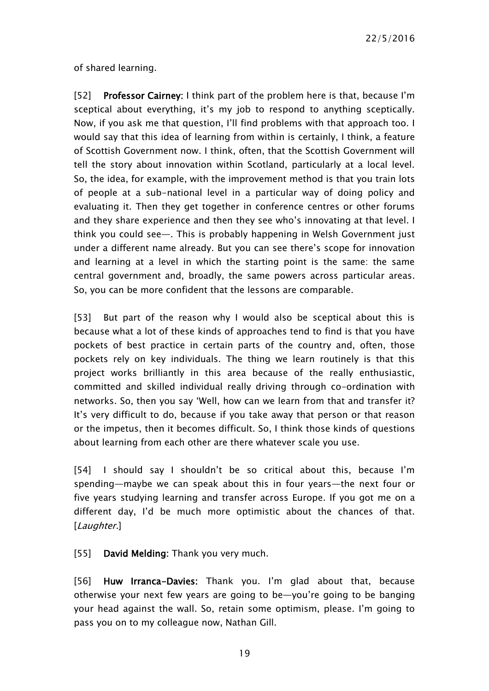22/5/2016

of shared learning.

[52] Professor Cairney: I think part of the problem here is that, because I'm sceptical about everything, it's my job to respond to anything sceptically. Now, if you ask me that question, I'll find problems with that approach too. I would say that this idea of learning from within is certainly, I think, a feature of Scottish Government now. I think, often, that the Scottish Government will tell the story about innovation within Scotland, particularly at a local level. So, the idea, for example, with the improvement method is that you train lots of people at a sub-national level in a particular way of doing policy and evaluating it. Then they get together in conference centres or other forums and they share experience and then they see who's innovating at that level. I think you could see—. This is probably happening in Welsh Government just under a different name already. But you can see there's scope for innovation and learning at a level in which the starting point is the same: the same central government and, broadly, the same powers across particular areas. So, you can be more confident that the lessons are comparable.

[53] But part of the reason why I would also be sceptical about this is because what a lot of these kinds of approaches tend to find is that you have pockets of best practice in certain parts of the country and, often, those pockets rely on key individuals. The thing we learn routinely is that this project works brilliantly in this area because of the really enthusiastic, committed and skilled individual really driving through co-ordination with networks. So, then you say 'Well, how can we learn from that and transfer it? It's very difficult to do, because if you take away that person or that reason or the impetus, then it becomes difficult. So, I think those kinds of questions about learning from each other are there whatever scale you use.

[54] I should say I shouldn't be so critical about this, because I'm spending—maybe we can speak about this in four years—the next four or five years studying learning and transfer across Europe. If you got me on a different day, I'd be much more optimistic about the chances of that. [Laughter.]

[55] David Melding: Thank you very much.

[56] Huw Irranca-Davies: Thank you. I'm glad about that, because otherwise your next few years are going to be—you're going to be banging your head against the wall. So, retain some optimism, please. I'm going to pass you on to my colleague now, Nathan Gill.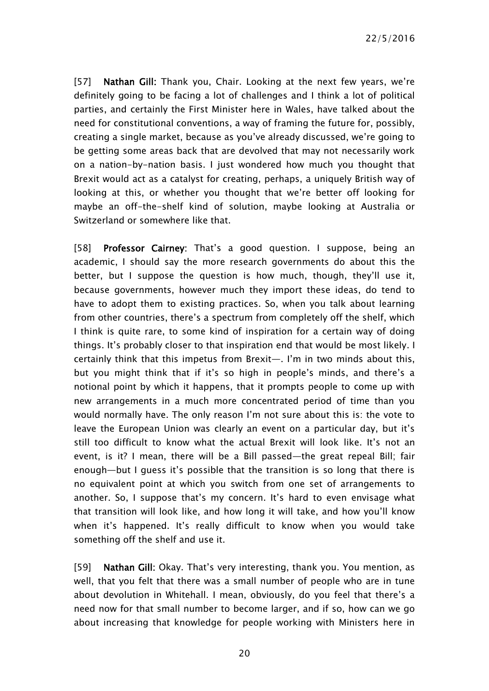22/5/2016

[57] Nathan Gill: Thank you, Chair. Looking at the next few years, we're definitely going to be facing a lot of challenges and I think a lot of political parties, and certainly the First Minister here in Wales, have talked about the need for constitutional conventions, a way of framing the future for, possibly, creating a single market, because as you've already discussed, we're going to be getting some areas back that are devolved that may not necessarily work on a nation-by-nation basis. I just wondered how much you thought that Brexit would act as a catalyst for creating, perhaps, a uniquely British way of looking at this, or whether you thought that we're better off looking for maybe an off-the-shelf kind of solution, maybe looking at Australia or Switzerland or somewhere like that.

[58] Professor Cairney: That's a good question. I suppose, being an academic, I should say the more research governments do about this the better, but I suppose the question is how much, though, they'll use it, because governments, however much they import these ideas, do tend to have to adopt them to existing practices. So, when you talk about learning from other countries, there's a spectrum from completely off the shelf, which I think is quite rare, to some kind of inspiration for a certain way of doing things. It's probably closer to that inspiration end that would be most likely. I certainly think that this impetus from Brexit—. I'm in two minds about this, but you might think that if it's so high in people's minds, and there's a notional point by which it happens, that it prompts people to come up with new arrangements in a much more concentrated period of time than you would normally have. The only reason I'm not sure about this is: the vote to leave the European Union was clearly an event on a particular day, but it's still too difficult to know what the actual Brexit will look like. It's not an event, is it? I mean, there will be a Bill passed—the great repeal Bill; fair enough—but I guess it's possible that the transition is so long that there is no equivalent point at which you switch from one set of arrangements to another. So, I suppose that's my concern. It's hard to even envisage what that transition will look like, and how long it will take, and how you'll know when it's happened. It's really difficult to know when you would take something off the shelf and use it.

[59] Nathan Gill: Okay. That's very interesting, thank you. You mention, as well, that you felt that there was a small number of people who are in tune about devolution in Whitehall. I mean, obviously, do you feel that there's a need now for that small number to become larger, and if so, how can we go about increasing that knowledge for people working with Ministers here in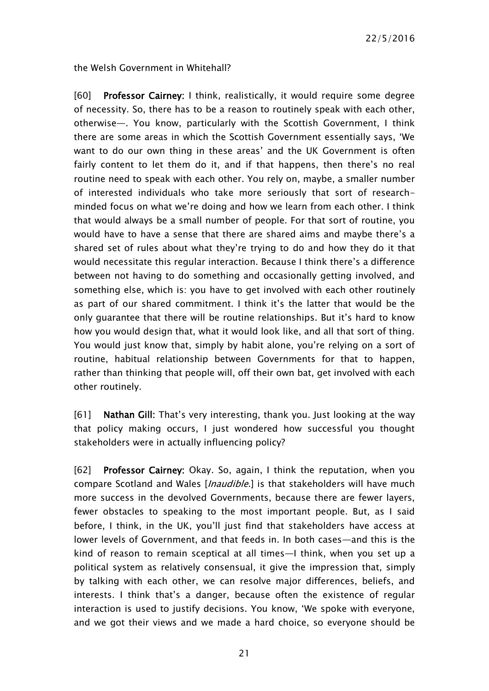the Welsh Government in Whitehall?

[60] Professor Cairney: I think, realistically, it would require some degree of necessity. So, there has to be a reason to routinely speak with each other, otherwise—. You know, particularly with the Scottish Government, I think there are some areas in which the Scottish Government essentially says, 'We want to do our own thing in these areas' and the UK Government is often fairly content to let them do it, and if that happens, then there's no real routine need to speak with each other. You rely on, maybe, a smaller number of interested individuals who take more seriously that sort of researchminded focus on what we're doing and how we learn from each other. I think that would always be a small number of people. For that sort of routine, you would have to have a sense that there are shared aims and maybe there's a shared set of rules about what they're trying to do and how they do it that would necessitate this regular interaction. Because I think there's a difference between not having to do something and occasionally getting involved, and something else, which is: you have to get involved with each other routinely as part of our shared commitment. I think it's the latter that would be the only guarantee that there will be routine relationships. But it's hard to know how you would design that, what it would look like, and all that sort of thing. You would just know that, simply by habit alone, you're relying on a sort of routine, habitual relationship between Governments for that to happen, rather than thinking that people will, off their own bat, get involved with each other routinely.

[61] Nathan Gill: That's very interesting, thank you. Just looking at the way that policy making occurs, I just wondered how successful you thought stakeholders were in actually influencing policy?

[62] Professor Cairney: Okay. So, again, I think the reputation, when you compare Scotland and Wales [*Inaudible*.] is that stakeholders will have much more success in the devolved Governments, because there are fewer layers, fewer obstacles to speaking to the most important people. But, as I said before, I think, in the UK, you'll just find that stakeholders have access at lower levels of Government, and that feeds in. In both cases—and this is the kind of reason to remain sceptical at all times—I think, when you set up a political system as relatively consensual, it give the impression that, simply by talking with each other, we can resolve major differences, beliefs, and interests. I think that's a danger, because often the existence of regular interaction is used to justify decisions. You know, 'We spoke with everyone, and we got their views and we made a hard choice, so everyone should be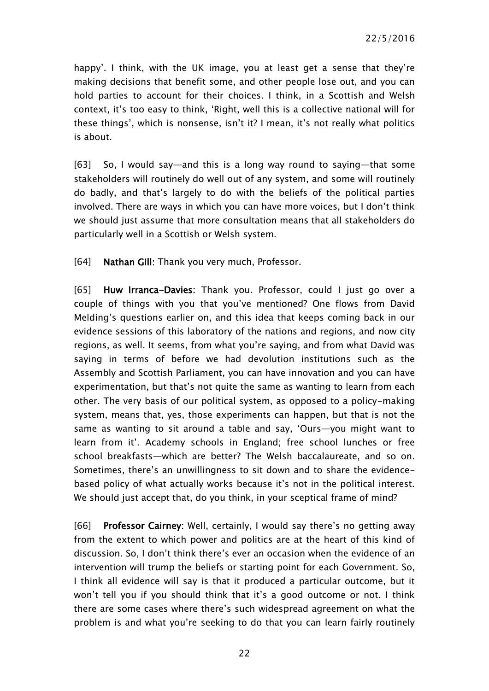happy'. I think, with the UK image, you at least get a sense that they're making decisions that benefit some, and other people lose out, and you can hold parties to account for their choices. I think, in a Scottish and Welsh context, it's too easy to think, 'Right, well this is a collective national will for these things', which is nonsense, isn't it? I mean, it's not really what politics is about.

[63] So, I would say—and this is a long way round to saying—that some stakeholders will routinely do well out of any system, and some will routinely do badly, and that's largely to do with the beliefs of the political parties involved. There are ways in which you can have more voices, but I don't think we should just assume that more consultation means that all stakeholders do particularly well in a Scottish or Welsh system.

[64] Nathan Gill: Thank you very much, Professor.

[65] Huw Irranca-Davies: Thank you. Professor, could I just go over a couple of things with you that you've mentioned? One flows from David Melding's questions earlier on, and this idea that keeps coming back in our evidence sessions of this laboratory of the nations and regions, and now city regions, as well. It seems, from what you're saying, and from what David was saying in terms of before we had devolution institutions such as the Assembly and Scottish Parliament, you can have innovation and you can have experimentation, but that's not quite the same as wanting to learn from each other. The very basis of our political system, as opposed to a policy-making system, means that, yes, those experiments can happen, but that is not the same as wanting to sit around a table and say, 'Ours—you might want to learn from it'. Academy schools in England; free school lunches or free school breakfasts—which are better? The Welsh baccalaureate, and so on. Sometimes, there's an unwillingness to sit down and to share the evidencebased policy of what actually works because it's not in the political interest. We should just accept that, do you think, in your sceptical frame of mind?

[66] Professor Cairney: Well, certainly, I would say there's no getting away from the extent to which power and politics are at the heart of this kind of discussion. So, I don't think there's ever an occasion when the evidence of an intervention will trump the beliefs or starting point for each Government. So, I think all evidence will say is that it produced a particular outcome, but it won't tell you if you should think that it's a good outcome or not. I think there are some cases where there's such widespread agreement on what the problem is and what you're seeking to do that you can learn fairly routinely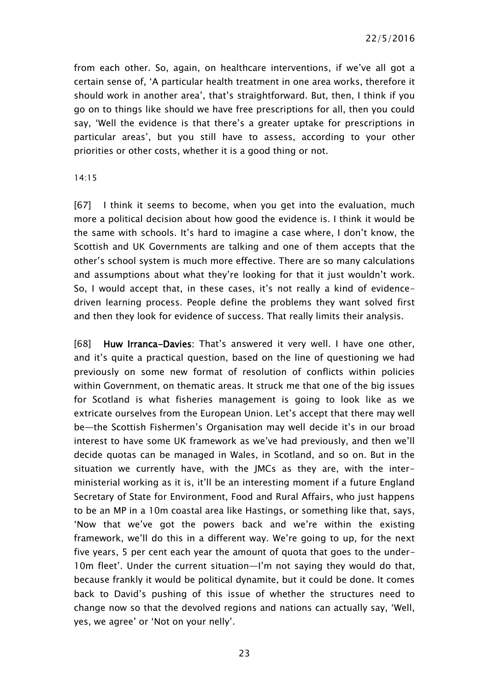22/5/2016

from each other. So, again, on healthcare interventions, if we've all got a certain sense of, 'A particular health treatment in one area works, therefore it should work in another area', that's straightforward. But, then, I think if you go on to things like should we have free prescriptions for all, then you could say, 'Well the evidence is that there's a greater uptake for prescriptions in particular areas', but you still have to assess, according to your other priorities or other costs, whether it is a good thing or not.

#### 14:15

[67] I think it seems to become, when you get into the evaluation, much more a political decision about how good the evidence is. I think it would be the same with schools. It's hard to imagine a case where, I don't know, the Scottish and UK Governments are talking and one of them accepts that the other's school system is much more effective. There are so many calculations and assumptions about what they're looking for that it just wouldn't work. So, I would accept that, in these cases, it's not really a kind of evidencedriven learning process. People define the problems they want solved first and then they look for evidence of success. That really limits their analysis.

[68] Huw Irranca-Davies: That's answered it very well. I have one other, and it's quite a practical question, based on the line of questioning we had previously on some new format of resolution of conflicts within policies within Government, on thematic areas. It struck me that one of the big issues for Scotland is what fisheries management is going to look like as we extricate ourselves from the European Union. Let's accept that there may well be—the Scottish Fishermen's Organisation may well decide it's in our broad interest to have some UK framework as we've had previously, and then we'll decide quotas can be managed in Wales, in Scotland, and so on. But in the situation we currently have, with the JMCs as they are, with the interministerial working as it is, it'll be an interesting moment if a future England Secretary of State for Environment, Food and Rural Affairs, who just happens to be an MP in a 10m coastal area like Hastings, or something like that, says, 'Now that we've got the powers back and we're within the existing framework, we'll do this in a different way. We're going to up, for the next five years, 5 per cent each year the amount of quota that goes to the under-10m fleet'. Under the current situation—I'm not saying they would do that, because frankly it would be political dynamite, but it could be done. It comes back to David's pushing of this issue of whether the structures need to change now so that the devolved regions and nations can actually say, 'Well, yes, we agree' or 'Not on your nelly'.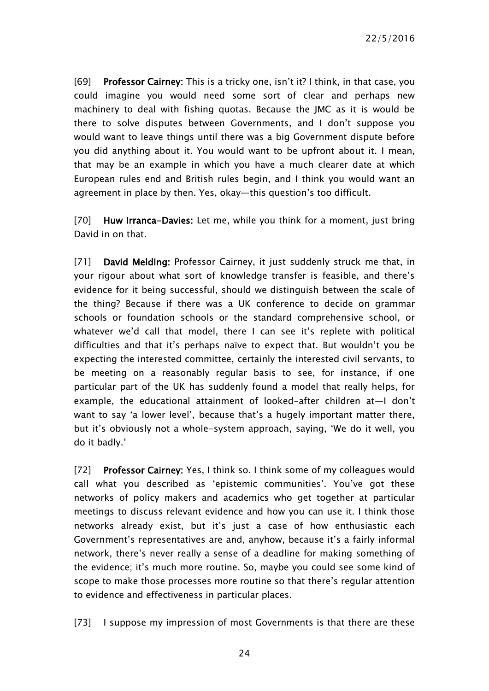22/5/2016

[69] Professor Cairney: This is a tricky one, isn't it? I think, in that case, you could imagine you would need some sort of clear and perhaps new machinery to deal with fishing quotas. Because the JMC as it is would be there to solve disputes between Governments, and I don't suppose you would want to leave things until there was a big Government dispute before you did anything about it. You would want to be upfront about it. I mean, that may be an example in which you have a much clearer date at which European rules end and British rules begin, and I think you would want an agreement in place by then. Yes, okay—this question's too difficult.

[70] Huw Irranca-Davies: Let me, while you think for a moment, just bring David in on that.

[71] David Melding: Professor Cairney, it just suddenly struck me that, in your rigour about what sort of knowledge transfer is feasible, and there's evidence for it being successful, should we distinguish between the scale of the thing? Because if there was a UK conference to decide on grammar schools or foundation schools or the standard comprehensive school, or whatever we'd call that model, there I can see it's replete with political difficulties and that it's perhaps naïve to expect that. But wouldn't you be expecting the interested committee, certainly the interested civil servants, to be meeting on a reasonably regular basis to see, for instance, if one particular part of the UK has suddenly found a model that really helps, for example, the educational attainment of looked-after children at—I don't want to say 'a lower level', because that's a hugely important matter there, but it's obviously not a whole-system approach, saying, 'We do it well, you do it badly.'

[72] Professor Cairney: Yes, I think so. I think some of my colleagues would call what you described as 'epistemic communities'. You've got these networks of policy makers and academics who get together at particular meetings to discuss relevant evidence and how you can use it. I think those networks already exist, but it's just a case of how enthusiastic each Government's representatives are and, anyhow, because it's a fairly informal network, there's never really a sense of a deadline for making something of the evidence; it's much more routine. So, maybe you could see some kind of scope to make those processes more routine so that there's regular attention to evidence and effectiveness in particular places.

[73] I suppose my impression of most Governments is that there are these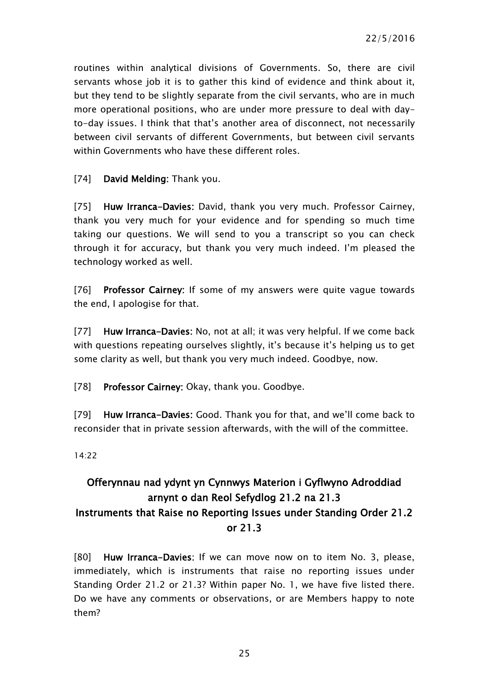routines within analytical divisions of Governments. So, there are civil servants whose job it is to gather this kind of evidence and think about it, but they tend to be slightly separate from the civil servants, who are in much more operational positions, who are under more pressure to deal with dayto-day issues. I think that that's another area of disconnect, not necessarily between civil servants of different Governments, but between civil servants within Governments who have these different roles.

[74] David Melding: Thank you.

[75] Huw Irranca-Davies: David, thank you very much. Professor Cairney, thank you very much for your evidence and for spending so much time taking our questions. We will send to you a transcript so you can check through it for accuracy, but thank you very much indeed. I'm pleased the technology worked as well.

[76] Professor Cairney: If some of my answers were quite vague towards the end, I apologise for that.

[77] Huw Irranca-Davies: No, not at all; it was very helpful. If we come back with questions repeating ourselves slightly, it's because it's helping us to get some clarity as well, but thank you very much indeed. Goodbye, now.

[78] Professor Cairney: Okay, thank you. Goodbye.

[79] Huw Irranca-Davies: Good. Thank you for that, and we'll come back to reconsider that in private session afterwards, with the will of the committee.

14:22

## <span id="page-24-0"></span>Offerynnau nad ydynt yn Cynnwys Materion i Gyflwyno Adroddiad arnynt o dan Reol Sefydlog 21.2 na 21.3 Instruments that Raise no Reporting Issues under Standing Order 21.2 or 21.3

[80] Huw Irranca-Davies: If we can move now on to item No. 3, please, immediately, which is instruments that raise no reporting issues under Standing Order 21.2 or 21.3? Within paper No. 1, we have five listed there. Do we have any comments or observations, or are Members happy to note them?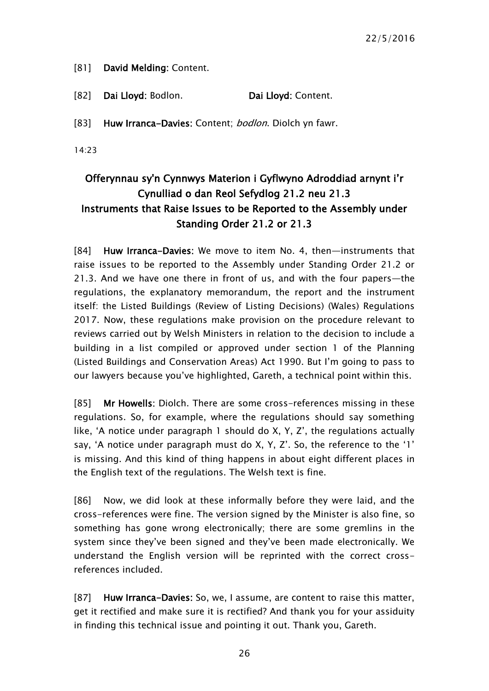[81] David Melding: Content.

[82] Dai Lloyd: Bodlon. Dai Lloyd: Content.

[83] Huw Irranca-Davies: Content; bodlon. Diolch yn fawr.

14:23

## <span id="page-25-0"></span>Offerynnau sy'n Cynnwys Materion i Gyflwyno Adroddiad arnynt i'r Cynulliad o dan Reol Sefydlog 21.2 neu 21.3 Instruments that Raise Issues to be Reported to the Assembly under Standing Order 21.2 or 21.3

[84] Huw Irranca-Davies: We move to item No. 4, then-instruments that raise issues to be reported to the Assembly under Standing Order 21.2 or 21.3. And we have one there in front of us, and with the four papers—the regulations, the explanatory memorandum, the report and the instrument itself: the Listed Buildings (Review of Listing Decisions) (Wales) Regulations 2017. Now, these regulations make provision on the procedure relevant to reviews carried out by Welsh Ministers in relation to the decision to include a building in a list compiled or approved under section 1 of the Planning (Listed Buildings and Conservation Areas) Act 1990. But I'm going to pass to our lawyers because you've highlighted, Gareth, a technical point within this.

[85] Mr Howells: Diolch. There are some cross-references missing in these regulations. So, for example, where the regulations should say something like, 'A notice under paragraph 1 should do X, Y, Z', the regulations actually say, 'A notice under paragraph must do X, Y, Z'. So, the reference to the '1' is missing. And this kind of thing happens in about eight different places in the English text of the regulations. The Welsh text is fine.

[86] Now, we did look at these informally before they were laid, and the cross-references were fine. The version signed by the Minister is also fine, so something has gone wrong electronically; there are some gremlins in the system since they've been signed and they've been made electronically. We understand the English version will be reprinted with the correct crossreferences included.

[87] Huw Irranca-Davies: So, we, I assume, are content to raise this matter, get it rectified and make sure it is rectified? And thank you for your assiduity in finding this technical issue and pointing it out. Thank you, Gareth.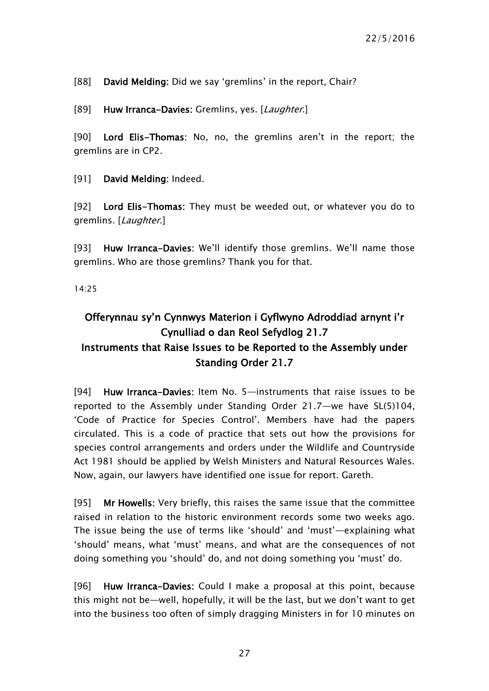[88] David Melding: Did we say 'gremlins' in the report, Chair?

[89] Huw Irranca-Davies: Gremlins, yes. [Laughter.]

[90] Lord Elis-Thomas: No, no, the gremlins aren't in the report; the gremlins are in CP2.

[91] David Melding: Indeed.

[92] Lord Elis-Thomas: They must be weeded out, or whatever you do to gremlins. [Laughter.]

[93] Huw Irranca-Davies: We'll identify those gremlins. We'll name those gremlins. Who are those gremlins? Thank you for that.

14:25

## <span id="page-26-0"></span>Offerynnau sy'n Cynnwys Materion i Gyflwyno Adroddiad arnynt i'r Cynulliad o dan Reol Sefydlog 21.7 Instruments that Raise Issues to be Reported to the Assembly under Standing Order 21.7

[94] Huw Irranca-Davies: Item No. 5—instruments that raise issues to be reported to the Assembly under Standing Order 21.7—we have SL(5)104, 'Code of Practice for Species Control'. Members have had the papers circulated. This is a code of practice that sets out how the provisions for species control arrangements and orders under the Wildlife and Countryside Act 1981 should be applied by Welsh Ministers and Natural Resources Wales. Now, again, our lawyers have identified one issue for report. Gareth.

[95] Mr Howells: Very briefly, this raises the same issue that the committee raised in relation to the historic environment records some two weeks ago. The issue being the use of terms like 'should' and 'must'—explaining what 'should' means, what 'must' means, and what are the consequences of not doing something you 'should' do, and not doing something you 'must' do.

[96] Huw Irranca-Davies: Could I make a proposal at this point, because this might not be—well, hopefully, it will be the last, but we don't want to get into the business too often of simply dragging Ministers in for 10 minutes on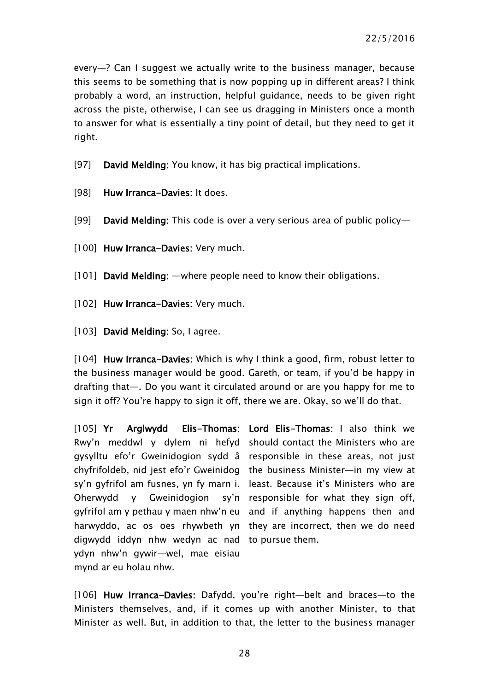every—? Can I suggest we actually write to the business manager, because this seems to be something that is now popping up in different areas? I think probably a word, an instruction, helpful guidance, needs to be given right across the piste, otherwise, I can see us dragging in Ministers once a month to answer for what is essentially a tiny point of detail, but they need to get it right.

[97] David Melding: You know, it has big practical implications.

- [98] Huw Irranca-Davies: It does.
- [99] David Melding: This code is over a very serious area of public policy—
- [100] Huw Irranca-Davies: Very much.
- [101] David Melding: —where people need to know their obligations.
- [102] Huw Irranca-Davies: Very much.
- [103] David Melding: So, I agree.

[104] Huw Irranca-Davies: Which is why I think a good, firm, robust letter to the business manager would be good. Gareth, or team, if you'd be happy in drafting that—. Do you want it circulated around or are you happy for me to sign it off? You're happy to sign it off, there we are. Okay, so we'll do that.

[105] Yr Arglwydd Elis-Thomas: Lord Elis-Thomas: I also think we Rwy'n meddwl y dylem ni hefyd should contact the Ministers who are gysylltu efo'r Gweinidogion sydd â responsible in these areas, not just chyfrifoldeb, nid jest efo'r Gweinidog the business Minister—in my view at sy'n gyfrifol am fusnes, yn fy marn i. least. Because it's Ministers who are Oherwydd y Gweinidogion sy'n responsible for what they sign off, gyfrifol am y pethau y maen nhw'n eu and if anything happens then and harwyddo, ac os oes rhywbeth yn they are incorrect, then we do need digwydd iddyn nhw wedyn ac nad to pursue them. ydyn nhw'n gywir—wel, mae eisiau mynd ar eu holau nhw.

[106] Huw Irranca-Davies: Dafydd, you're right-belt and braces-to the Ministers themselves, and, if it comes up with another Minister, to that Minister as well. But, in addition to that, the letter to the business manager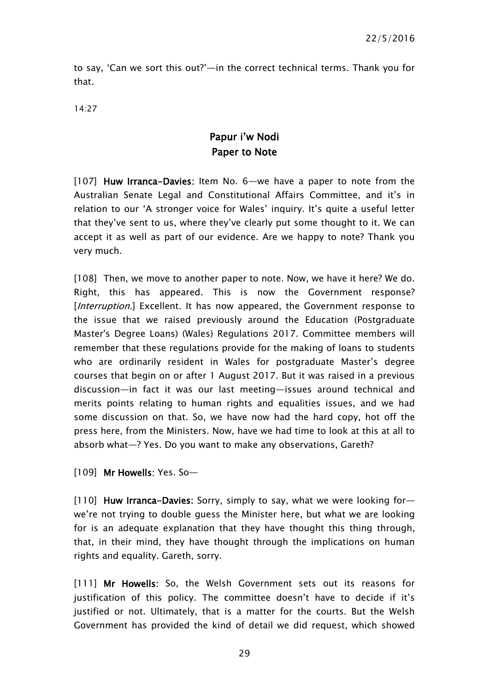to say, 'Can we sort this out?'—in the correct technical terms. Thank you for that.

<span id="page-28-0"></span>14:27

## Papur i'w Nodi Paper to Note

[107] Huw Irranca-Davies: Item No. 6—we have a paper to note from the Australian Senate Legal and Constitutional Affairs Committee, and it's in relation to our 'A stronger voice for Wales' inquiry. It's quite a useful letter that they've sent to us, where they've clearly put some thought to it. We can accept it as well as part of our evidence. Are we happy to note? Thank you very much.

[108] Then, we move to another paper to note. Now, we have it here? We do. Right, this has appeared. This is now the Government response? [*Interruption*.] Excellent. It has now appeared, the Government response to the issue that we raised previously around the Education (Postgraduate Master's Degree Loans) (Wales) Regulations 2017. Committee members will remember that these regulations provide for the making of loans to students who are ordinarily resident in Wales for postgraduate Master's degree courses that begin on or after 1 August 2017. But it was raised in a previous discussion—in fact it was our last meeting—issues around technical and merits points relating to human rights and equalities issues, and we had some discussion on that. So, we have now had the hard copy, hot off the press here, from the Ministers. Now, have we had time to look at this at all to absorb what—? Yes. Do you want to make any observations, Gareth?

[109] Mr Howells: Yes. So—

[110] Huw Irranca-Davies: Sorry, simply to say, what we were looking forwe're not trying to double guess the Minister here, but what we are looking for is an adequate explanation that they have thought this thing through, that, in their mind, they have thought through the implications on human rights and equality. Gareth, sorry.

[111] Mr Howells: So, the Welsh Government sets out its reasons for justification of this policy. The committee doesn't have to decide if it's justified or not. Ultimately, that is a matter for the courts. But the Welsh Government has provided the kind of detail we did request, which showed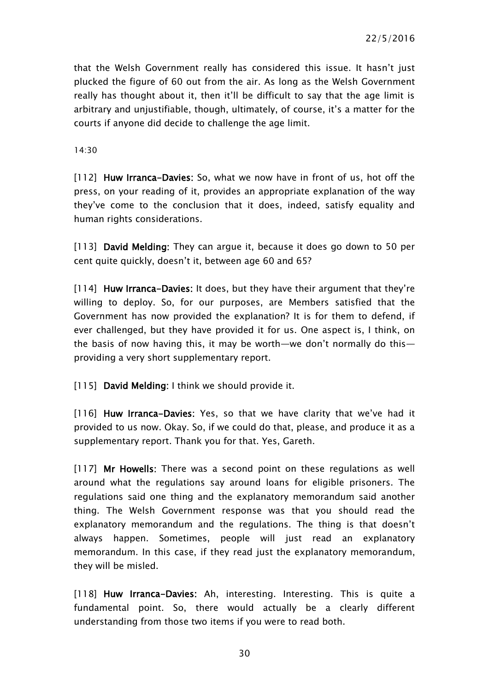that the Welsh Government really has considered this issue. It hasn't just plucked the figure of 60 out from the air. As long as the Welsh Government really has thought about it, then it'll be difficult to say that the age limit is arbitrary and unjustifiable, though, ultimately, of course, it's a matter for the courts if anyone did decide to challenge the age limit.

14:30

[112] Huw Irranca-Davies: So, what we now have in front of us, hot off the press, on your reading of it, provides an appropriate explanation of the way they've come to the conclusion that it does, indeed, satisfy equality and human rights considerations.

[113] **David Melding:** They can argue it, because it does go down to 50 per cent quite quickly, doesn't it, between age 60 and 65?

[114] Huw Irranca-Davies: It does, but they have their argument that they're willing to deploy. So, for our purposes, are Members satisfied that the Government has now provided the explanation? It is for them to defend, if ever challenged, but they have provided it for us. One aspect is, I think, on the basis of now having this, it may be worth—we don't normally do this providing a very short supplementary report.

[115] David Melding: I think we should provide it.

[116] Huw Irranca-Davies: Yes, so that we have clarity that we've had it provided to us now. Okay. So, if we could do that, please, and produce it as a supplementary report. Thank you for that. Yes, Gareth.

[117] Mr Howells: There was a second point on these regulations as well around what the regulations say around loans for eligible prisoners. The regulations said one thing and the explanatory memorandum said another thing. The Welsh Government response was that you should read the explanatory memorandum and the regulations. The thing is that doesn't always happen. Sometimes, people will just read an explanatory memorandum. In this case, if they read just the explanatory memorandum, they will be misled.

[118] Huw Irranca-Davies: Ah, interesting. Interesting. This is quite a fundamental point. So, there would actually be a clearly different understanding from those two items if you were to read both.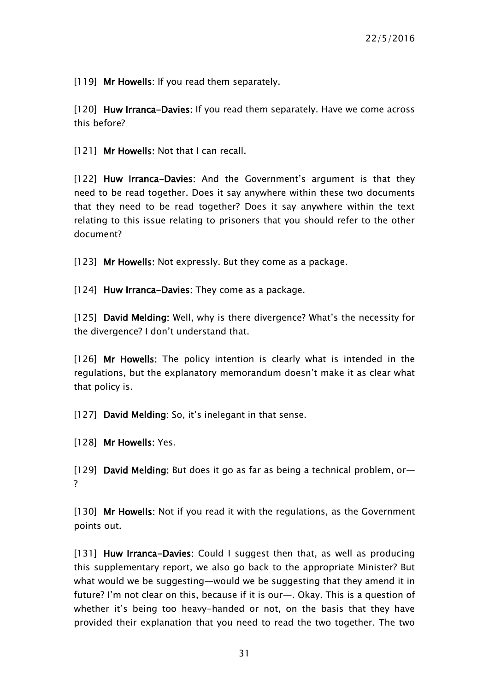[119] Mr Howells: If you read them separately.

[120] Huw Irranca-Davies: If you read them separately. Have we come across this before?

[121] Mr Howells: Not that I can recall.

[122] Huw Irranca-Davies: And the Government's argument is that they need to be read together. Does it say anywhere within these two documents that they need to be read together? Does it say anywhere within the text relating to this issue relating to prisoners that you should refer to the other document?

[123] Mr Howells: Not expressly. But they come as a package.

[124] Huw Irranca-Davies: They come as a package.

[125] David Melding: Well, why is there divergence? What's the necessity for the divergence? I don't understand that.

[126] Mr Howells: The policy intention is clearly what is intended in the regulations, but the explanatory memorandum doesn't make it as clear what that policy is.

[127] David Melding: So, it's inelegant in that sense.

[128] Mr Howells: Yes.

[129] David Melding: But does it go as far as being a technical problem, or— ?

[130] Mr Howells: Not if you read it with the regulations, as the Government points out.

[131] Huw Irranca-Davies: Could I suggest then that, as well as producing this supplementary report, we also go back to the appropriate Minister? But what would we be suggesting—would we be suggesting that they amend it in future? I'm not clear on this, because if it is our—. Okay. This is a question of whether it's being too heavy-handed or not, on the basis that they have provided their explanation that you need to read the two together. The two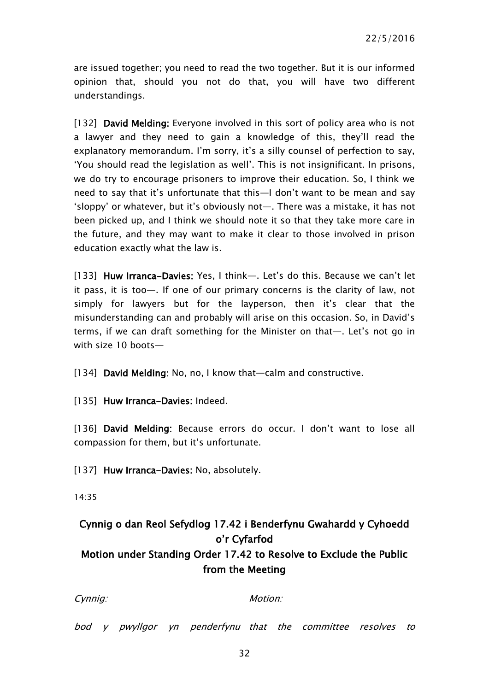are issued together; you need to read the two together. But it is our informed opinion that, should you not do that, you will have two different understandings.

[132] David Melding: Everyone involved in this sort of policy area who is not a lawyer and they need to gain a knowledge of this, they'll read the explanatory memorandum. I'm sorry, it's a silly counsel of perfection to say, 'You should read the legislation as well'. This is not insignificant. In prisons, we do try to encourage prisoners to improve their education. So, I think we need to say that it's unfortunate that this—I don't want to be mean and say 'sloppy' or whatever, but it's obviously not—. There was a mistake, it has not been picked up, and I think we should note it so that they take more care in the future, and they may want to make it clear to those involved in prison education exactly what the law is.

[133] Huw Irranca-Davies: Yes, I think—. Let's do this. Because we can't let it pass, it is too—. If one of our primary concerns is the clarity of law, not simply for lawyers but for the layperson, then it's clear that the misunderstanding can and probably will arise on this occasion. So, in David's terms, if we can draft something for the Minister on that—. Let's not go in with size 10 boots—

[134] David Melding: No, no, I know that—calm and constructive.

[135] Huw Irranca-Davies: Indeed.

[136] David Melding: Because errors do occur. I don't want to lose all compassion for them, but it's unfortunate.

[137] Huw Irranca-Davies: No, absolutely.

14:35

## <span id="page-31-0"></span>Cynnig o dan Reol Sefydlog 17.42 i Benderfynu Gwahardd y Cyhoedd o'r Cyfarfod Motion under Standing Order 17.42 to Resolve to Exclude the Public from the Meeting

| vnnic |
|-------|
|       |
|       |

 $Motion$ 

bod y pwyllgor yn penderfynu that the committee resolves to